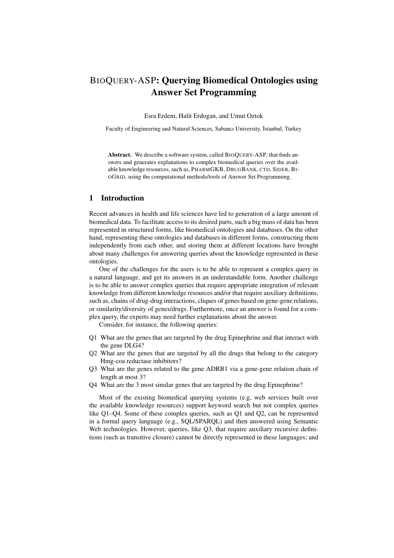# BIOQUERY-ASP: Querying Biomedical Ontologies using Answer Set Programming

Esra Erdem, Halit Erdogan, and Umut Oztok

Faculty of Engineering and Natural Sciences, Sabancı University, İstanbul, Turkey

Abstract. We describe a software system, called BIOQUERY-ASP, that finds answers and generates explanations to complex biomedical queries over the available knowledge resources, such as, PHARMGKB, DRUGBANK, CTD, SIDER, BI-OGRID, using the computational methods/tools of Answer Set Programming.

# 1 Introduction

Recent advances in health and life sciences have led to generation of a large amount of biomedical data. To facilitate access to its desired parts, such a big mass of data has been represented in structured forms, like biomedical ontologies and databases. On the other hand, representing these ontologies and databases in different forms, constructing them independently from each other, and storing them at different locations have brought about many challenges for answering queries about the knowledge represented in these ontologies.

One of the challenges for the users is to be able to represent a complex query in a natural language, and get its answers in an understandable form. Another challenge is to be able to answer complex queries that require appropriate integration of relevant knowledge from different knowledge resources and/or that require auxiliary definitions, such as, chains of drug-drug interactions, cliques of genes based on gene-gene relations, or similarity/diversity of genes/drugs. Furthermore, once an answer is found for a complex query, the experts may need further explanations about the answer.

Consider, for instance, the following queries:

- Q1 What are the genes that are targeted by the drug Epinephrine and that interact with the gene DLG4?
- Q2 What are the genes that are targeted by all the drugs that belong to the category Hmg-coa reductase inhibitors?
- Q3 What are the genes related to the gene ADRB1 via a gene-gene relation chain of length at most 3?
- Q4 What are the 3 most similar genes that are targeted by the drug Epinephrine?

Most of the existing biomedical querying systems (e.g, web services built over the available knowledge resources) support keyword search but not complex queries like Q1–Q4. Some of these complex queries, such as Q1 and Q2, can be represented in a formal query language (e.g., SQL/SPARQL) and then answered using Semantic Web technologies. However, queries, like Q3, that require auxiliary recursive definitions (such as transitive closure) cannot be directly represented in these languages; and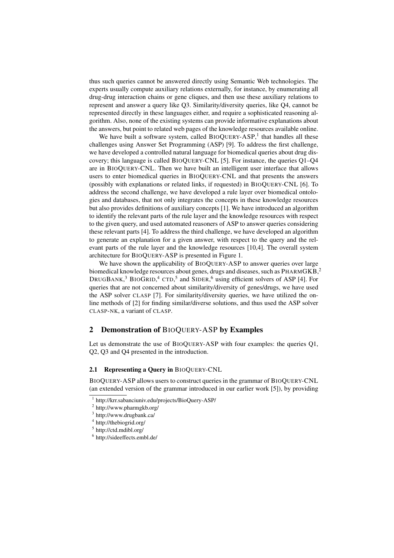thus such queries cannot be answered directly using Semantic Web technologies. The experts usually compute auxiliary relations externally, for instance, by enumerating all drug-drug interaction chains or gene cliques, and then use these auxiliary relations to represent and answer a query like Q3. Similarity/diversity queries, like Q4, cannot be represented directly in these languages either, and require a sophisticated reasoning algorithm. Also, none of the existing systems can provide informative explanations about the answers, but point to related web pages of the knowledge resources available online.

We have built a software system, called  $BIOQUERY-ASP<sup>1</sup>$  that handles all these challenges using Answer Set Programming (ASP) [9]. To address the first challenge, we have developed a controlled natural language for biomedical queries about drug discovery; this language is called BIOQUERY-CNL [5]. For instance, the queries Q1–Q4 are in BIOQUERY-CNL. Then we have built an intelligent user interface that allows users to enter biomedical queries in BIOQUERY-CNL and that presents the answers (possibly with explanations or related links, if requested) in BIOQUERY-CNL [6]. To address the second challenge, we have developed a rule layer over biomedical ontologies and databases, that not only integrates the concepts in these knowledge resources but also provides definitions of auxiliary concepts [1]. We have introduced an algorithm to identify the relevant parts of the rule layer and the knowledge resources with respect to the given query, and used automated reasoners of ASP to answer queries considering these relevant parts [4]. To address the third challenge, we have developed an algorithm to generate an explanation for a given answer, with respect to the query and the relevant parts of the rule layer and the knowledge resources [10,4]. The overall system architecture for BIOQUERY-ASP is presented in Figure 1.

We have shown the applicability of BIOQUERY-ASP to answer queries over large biomedical knowledge resources about genes, drugs and diseases, such as PHARMGKB,<sup>2</sup> DRUGBANK,<sup>3</sup> BIOGRID,<sup>4</sup> CTD,<sup>5</sup> and SIDER,<sup>6</sup> using efficient solvers of ASP [4]. For queries that are not concerned about similarity/diversity of genes/drugs, we have used the ASP solver CLASP [7]. For similarity/diversity queries, we have utilized the online methods of [2] for finding similar/diverse solutions, and thus used the ASP solver CLASP-NK, a variant of CLASP.

# 2 Demonstration of BIOQUERY-ASP by Examples

Let us demonstrate the use of BIOQUERY-ASP with four examples: the queries Q1, Q2, Q3 and Q4 presented in the introduction.

### 2.1 Representing a Query in BIOQUERY-CNL

BIOQUERY-ASP allows users to construct queries in the grammar of BIOQUERY-CNL (an extended version of the grammar introduced in our earlier work [5]), by providing

<sup>1</sup> http://krr.sabanciuniv.edu/projects/BioQuery-ASP/

<sup>2</sup> http://www.pharmgkb.org/

<sup>3</sup> http://www.drugbank.ca/

<sup>4</sup> http://thebiogrid.org/

<sup>5</sup> http://ctd.mdibl.org/

<sup>6</sup> http://sideeffects.embl.de/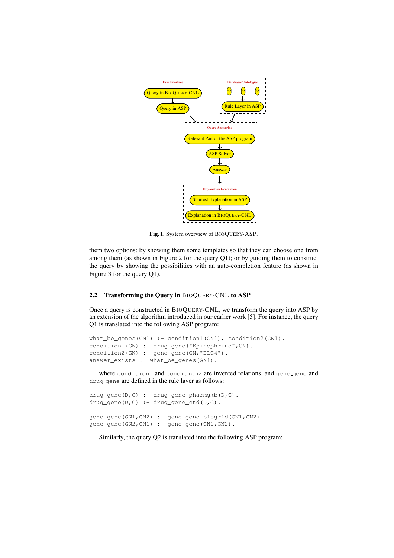

Fig. 1. System overview of BIOQUERY-ASP.

them two options: by showing them some templates so that they can choose one from among them (as shown in Figure 2 for the query  $Q1$ ); or by guiding them to construct the query by showing the possibilities with an auto-completion feature (as shown in Figure 3 for the query Q1).

## 2.2 Transforming the Query in BIOQUERY-CNL to ASP

Once a query is constructed in BIOQUERY-CNL, we transform the query into ASP by an extension of the algorithm introduced in our earlier work [5]. For instance, the query Q1 is translated into the following ASP program:

```
what be genes(GN1) :- condition1(GN1), condition2(GN1).
condition1(GN) :- drug_gene("Epinephrine", GN).
condition2(GN) :- gene_gene(GN, "DLG4").
answer_exists :- what_be_genes(GN1).
```
where condition1 and condition2 are invented relations, and gene\_gene and drug gene are defined in the rule layer as follows:

```
drug_gene(D,G) :- drug_gene_pharmgkb(D,G).
drug_gene(D,G) :- drug_gene_ctd(D,G).
gene_gene(GN1,GN2) :- gene_gene_biogrid(GN1,GN2).
gene_gene(GN2,GN1) :- gene_gene(GN1,GN2).
```
Similarly, the query Q2 is translated into the following ASP program: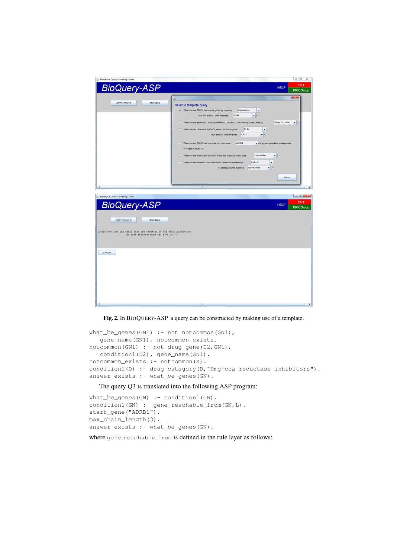

Fig. 2. In BIOQUERY-ASP a query can be constructed by making use of a template.

```
what_be_genes(GN1) :- not notcommon(GN1),
   gene_name(GN1), notcommon_exists.
notcommon(GN1) :- not drug_gene(D2,GN1),
  condition1(D2), gene_name(GN1).
notcommon_exists :- notcommon(X).
condition1(D) :- drug_category(D, "Hmg-coa reductase inhibitors").
answer_exists :- what_be_genes(GN).
```
# The query Q3 is translated into the following ASP program:

```
what_be_genes(GN) :- condition1(GN).
condition1(GN) :- gene_reachable_from(GN,L).
start_gene("ADRB1").
max_chain_length(3).
answer_exists :- what_be_genes(GN).
```
where gene\_reachable\_from is defined in the rule layer as follows: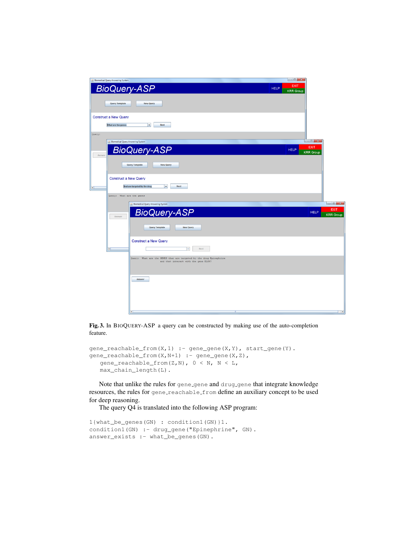

Fig. 3. In BIOQUERY-ASP a query can be constructed by making use of the auto-completion feature.

```
gene\_reachable\_from(X,1) :- gene\_gene(X,Y), start\_gene(Y).\text{gene\_reachable\_from}(X, N+1) :- gene_gene(X,Z),
   qene_reachable_from(Z,N), 0 < N, N < L,
   max_chain_length(L).
```
Note that unlike the rules for gene\_gene and drug\_gene that integrate knowledge resources, the rules for gene reachable from define an auxiliary concept to be used for deep reasoning.

The query Q4 is translated into the following ASP program:

```
1{what_be_genes(GN) : condition1(GN)}1.
condition1(GN) :- drug_gene("Epinephrine", GN).
answer_exists :- what_be_genes(GN).
```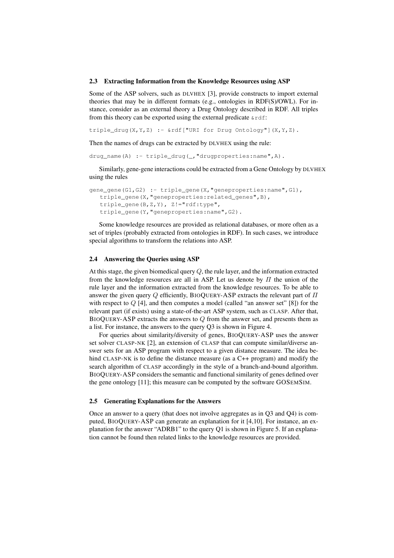#### 2.3 Extracting Information from the Knowledge Resources using ASP

Some of the ASP solvers, such as DLVHEX [3], provide constructs to import external theories that may be in different formats (e.g., ontologies in RDF(S)/OWL). For instance, consider as an external theory a Drug Ontology described in RDF. All triples from this theory can be exported using the external predicate  $\kappa$ rdf:

triple\_drug(X,Y,Z) :- &rdf["URI for Drug Ontology"](X,Y,Z).

Then the names of drugs can be extracted by DLVHEX using the rule:

drug\_name(A) :- triple\_drug(\_,"drugproperties:name",A).

Similarly, gene-gene interactions could be extracted from a Gene Ontology by DLVHEX using the rules

```
gene_gene(G1,G2) :- triple_gene(X,"geneproperties:name",G1),
  triple_gene(X,"geneproperties:related_genes",B),
  triple_gene(B,Z,Y), Z!="rdf:type",
  triple_gene(Y,"geneproperties:name",G2).
```
Some knowledge resources are provided as relational databases, or more often as a set of triples (probably extracted from ontologies in RDF). In such cases, we introduce special algorithms to transform the relations into ASP.

## 2.4 Answering the Queries using ASP

At this stage, the given biomedical query *Q*, the rule layer, and the information extracted from the knowledge resources are all in ASP. Let us denote by  $\Pi$  the union of the rule layer and the information extracted from the knowledge resources. To be able to answer the given query  $Q$  efficiently, BIOQUERY-ASP extracts the relevant part of  $\Pi$ with respect to *Q* [4], and then computes a model (called "an answer set" [8]) for the relevant part (if exists) using a state-of-the-art ASP system, such as CLASP. After that, BIOQUERY-ASP extracts the answers to *Q* from the answer set, and presents them as a list. For instance, the answers to the query Q3 is shown in Figure 4.

For queries about similarity/diversity of genes, BIOQUERY-ASP uses the answer set solver CLASP-NK [2], an extension of CLASP that can compute similar/diverse answer sets for an ASP program with respect to a given distance measure. The idea behind CLASP-NK is to define the distance measure (as a C++ program) and modify the search algorithm of CLASP accordingly in the style of a branch-and-bound algorithm. BIOQUERY-ASP considers the semantic and functional similarity of genes defined over the gene ontology [11]; this measure can be computed by the software GOSEMSIM.

### 2.5 Generating Explanations for the Answers

Once an answer to a query (that does not involve aggregates as in Q3 and Q4) is computed, BIOQUERY-ASP can generate an explanation for it [4,10]. For instance, an explanation for the answer "ADRB1" to the query Q1 is shown in Figure 5. If an explanation cannot be found then related links to the knowledge resources are provided.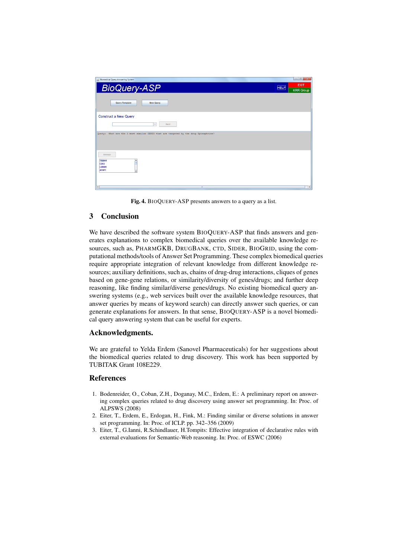

Fig. 4. BIOQUERY-ASP presents answers to a query as a list.

# 3 Conclusion

We have described the software system BIOQUERY-ASP that finds answers and generates explanations to complex biomedical queries over the available knowledge resources, such as, PHARMGKB, DRUGBANK, CTD, SIDER, BIOGRID, using the computational methods/tools of Answer Set Programming. These complex biomedical queries require appropriate integration of relevant knowledge from different knowledge resources; auxiliary definitions, such as, chains of drug-drug interactions, cliques of genes based on gene-gene relations, or similarity/diversity of genes/drugs; and further deep reasoning, like finding similar/diverse genes/drugs. No existing biomedical query answering systems (e.g., web services built over the available knowledge resources, that answer queries by means of keyword search) can directly answer such queries, or can generate explanations for answers. In that sense, BIOQUERY-ASP is a novel biomedical query answering system that can be useful for experts.

# Acknowledgments.

We are grateful to Yelda Erdem (Sanovel Pharmaceuticals) for her suggestions about the biomedical queries related to drug discovery. This work has been supported by TUBITAK Grant 108E229.

# **References**

- 1. Bodenreider, O., Coban, Z.H., Doganay, M.C., Erdem, E.: A preliminary report on answering complex queries related to drug discovery using answer set programming. In: Proc. of ALPSWS (2008)
- 2. Eiter, T., Erdem, E., Erdogan, H., Fink, M.: Finding similar or diverse solutions in answer set programming. In: Proc. of ICLP. pp. 342–356 (2009)
- 3. Eiter, T., G.Ianni, R.Schindlauer, H.Tompits: Effective integration of declarative rules with external evaluations for Semantic-Web reasoning. In: Proc. of ESWC (2006)